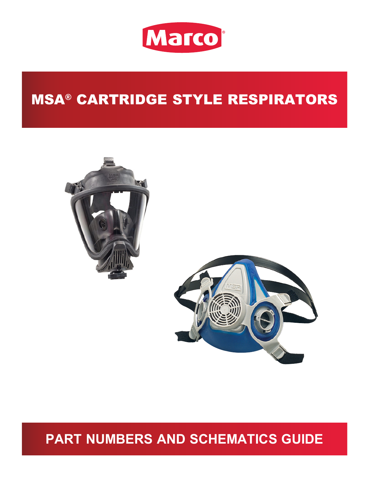

# MSA® CARTRIDGE STYLE RESPIRATORS





# **PART NUMBERS AND SCHEMATICS GUIDE**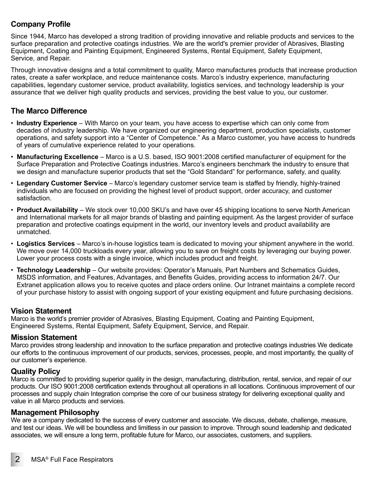#### **Company Profile**

Since 1944, Marco has developed a strong tradition of providing innovative and reliable products and services to the surface preparation and protective coatings industries. We are the world's premier provider of Abrasives, Blasting Equipment, Coating and Painting Equipment, Engineered Systems, Rental Equipment, Safety Equipment, Service, and Repair.

Through innovative designs and a total commitment to quality, Marco manufactures products that increase production rates, create a safer workplace, and reduce maintenance costs. Marco's industry experience, manufacturing capabilities, legendary customer service, product availability, logistics services, and technology leadership is your assurance that we deliver high quality products and services, providing the best value to you, our customer.

#### **The Marco Difference**

- **Industry Experience** With Marco on your team, you have access to expertise which can only come from decades of industry leadership. We have organized our engineering department, production specialists, customer operations, and safety support into a "Center of Competence." As a Marco customer, you have access to hundreds of years of cumulative experience related to your operations.
- **Manufacturing Excellence** Marco is a U.S. based, ISO 9001:2008 certified manufacturer of equipment for the Surface Preparation and Protective Coatings industries. Marco's engineers benchmark the industry to ensure that we design and manufacture superior products that set the "Gold Standard" for performance, safety, and quality.
- **Legendary Customer Service** Marco's legendary customer service team is staffed by friendly, highly-trained individuals who are focused on providing the highest level of product support, order accuracy, and customer satisfaction.
- **Product Availability** We stock over 10,000 SKU's and have over 45 shipping locations to serve North American and International markets for all major brands of blasting and painting equipment. As the largest provider of surface preparation and protective coatings equipment in the world, our inventory levels and product availability are unmatched.
- **Logistics Services** Marco's in-house logistics team is dedicated to moving your shipment anywhere in the world. We move over 14,000 truckloads every year, allowing you to save on freight costs by leveraging our buying power. Lower your process costs with a single invoice, which includes product and freight.
- **Technology Leadership** Our website provides: Operator's Manuals, Part Numbers and Schematics Guides, MSDS information, and Features, Advantages, and Benefits Guides, providing access to information 24/7. Our Extranet application allows you to receive quotes and place orders online. Our Intranet maintains a complete record of your purchase history to assist with ongoing support of your existing equipment and future purchasing decisions.

#### **Vision Statement**

Marco is the world's premier provider of Abrasives, Blasting Equipment, Coating and Painting Equipment, Engineered Systems, Rental Equipment, Safety Equipment, Service, and Repair.

#### **Mission Statement**

Marco provides strong leadership and innovation to the surface preparation and protective coatings industries We dedicate our efforts to the continuous improvement of our products, services, processes, people, and most importantly, the quality of our customer's experience.

#### **Quality Policy**

Marco is committed to providing superior quality in the design, manufacturing, distribution, rental, service, and repair of our products. Our ISO 9001:2008 certification extends throughout all operations in all locations. Continuous improvement of our processes and supply chain Integration comprise the core of our business strategy for delivering exceptional quality and value in all Marco products and services.

#### **Management Philosophy**

We are a company dedicated to the success of every customer and associate. We discuss, debate, challenge, measure, and test our ideas. We will be boundless and limitless in our passion to improve. Through sound leadership and dedicated associates, we will ensure a long term, profitable future for Marco, our associates, customers, and suppliers.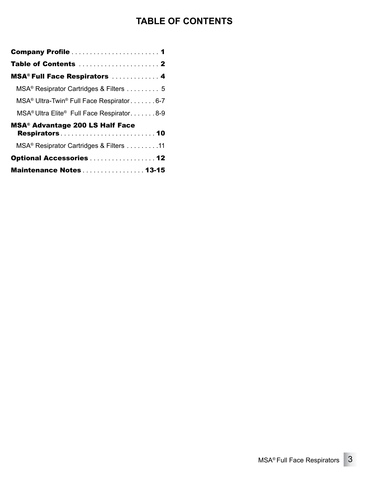### **TABLE OF CONTENTS**

| <b>MSA<sup>®</sup> Full Face Respirators  4</b>                     |
|---------------------------------------------------------------------|
| MSA <sup>®</sup> Resiprator Cartridges & Filters 5                  |
| MSA <sup>®</sup> Ultra-Twin <sup>®</sup> Full Face Respirator6-7    |
| MSA <sup>®</sup> Ultra Elite <sup>®</sup> Full Face Respirator. 8-9 |
| <b>MSA<sup>®</sup> Advantage 200 LS Half Face</b>                   |
| MSA <sup>®</sup> Resiprator Cartridges & Filters 11                 |
| Optional Accessories 12                                             |
| Maintenance Notes 13-15                                             |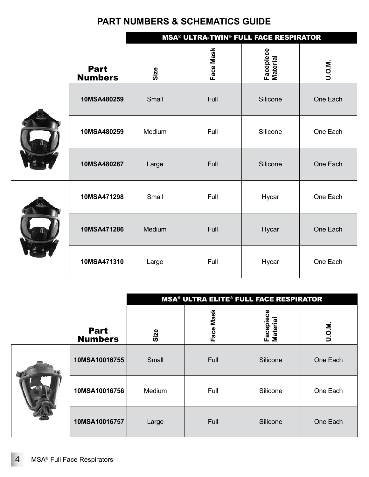|  |                               | <b>MSA<sup>®</sup> ULTRA-TWIN<sup>®</sup> FULL FACE RESPIRATOR</b> |           |                       |          |
|--|-------------------------------|--------------------------------------------------------------------|-----------|-----------------------|----------|
|  | <b>Part</b><br><b>Numbers</b> | Size                                                               | Face Mask | Facepiece<br>Material | U.O.M.   |
|  | 10MSA480259                   | Small                                                              | Full      | Silicone              | One Each |
|  | 10MSA480259                   | Medium                                                             | Full      | Silicone              | One Each |
|  | 10MSA480267                   | Large                                                              | Full      | Silicone              | One Each |
|  | 10MSA471298                   | Small                                                              | Full      | Hycar                 | One Each |
|  | 10MSA471286                   | Medium                                                             | Full      | Hycar                 | One Each |
|  | 10MSA471310                   | Large                                                              | Full      | Hycar                 | One Each |

|  |                               | <b>MSA<sup>®</sup> ULTRA ELITE® FULL FACE RESPIRATOR</b> |           |                             |          |
|--|-------------------------------|----------------------------------------------------------|-----------|-----------------------------|----------|
|  | <b>Part</b><br><b>Numbers</b> | Size                                                     | Face Mask | ပ္ပ<br>Facepiec<br>Material | U.O.M.   |
|  | 10MSA10016755                 | Small                                                    | Full      | Silicone                    | One Each |
|  | 10MSA10016756                 | Medium                                                   | Full      | Silicone                    | One Each |
|  | 10MSA10016757                 | Large                                                    | Full      | Silicone                    | One Each |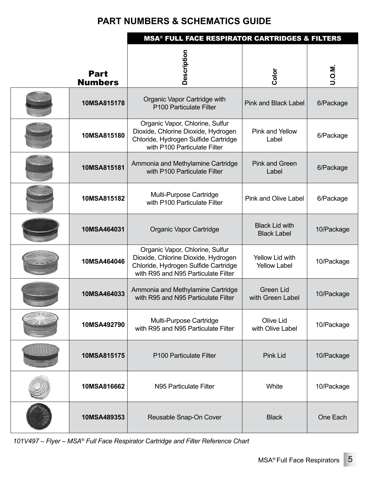|                               | <b>MSA<sup>®</sup> FULL FACE RESPIRATOR CARTRIDGES &amp; FILTERS</b>                                                                                  |                                             |            |
|-------------------------------|-------------------------------------------------------------------------------------------------------------------------------------------------------|---------------------------------------------|------------|
| <b>Part</b><br><b>Numbers</b> | Description                                                                                                                                           | Color                                       | U.O.M.     |
| 10MSA815178                   | Organic Vapor Cartridge with<br>P100 Particulate Filter                                                                                               | <b>Pink and Black Label</b>                 | 6/Package  |
| 10MSA815180                   | Organic Vapor, Chlorine, Sulfur<br>Dioxide, Chlorine Dioxide, Hydrogen<br>Chloride, Hydrogen Sulfide Cartridge<br>with P100 Particulate Filter        | Pink and Yellow<br>Label                    | 6/Package  |
| 10MSA815181                   | Ammonia and Methylamine Cartridge<br>with P100 Particulate Filter                                                                                     | <b>Pink and Green</b><br>Label              | 6/Package  |
| 10MSA815182                   | Multi-Purpose Cartridge<br>with P100 Particulate Filter                                                                                               | <b>Pink and Olive Label</b>                 | 6/Package  |
| 10MSA464031                   | Organic Vapor Cartridge                                                                                                                               | <b>Black Lid with</b><br><b>Black Label</b> | 10/Package |
| 10MSA464046                   | Organic Vapor, Chlorine, Sulfur<br>Dioxide, Chlorine Dioxide, Hydrogen<br>Chloride, Hydrogen Sulfide Cartridge<br>with R95 and N95 Particulate Filter | Yellow Lid with<br><b>Yellow Label</b>      | 10/Package |
| 10MSA464033                   | Ammonia and Methylamine Cartridge<br>with R95 and N95 Particulate Filter                                                                              | <b>Green Lid</b><br>with Green Label        | 10/Package |
| 10MSA492790                   | Multi-Purpose Cartridge<br>with R95 and N95 Particulate Filter                                                                                        | Olive Lid<br>with Olive Label               | 10/Package |
| 10MSA815175                   | P <sub>100</sub> Particulate Filter                                                                                                                   | <b>Pink Lid</b>                             | 10/Package |
| 10MSA816662                   | N95 Particulate Filter                                                                                                                                | White                                       | 10/Package |
| 10MSA489353                   | Reusable Snap-On Cover                                                                                                                                | <b>Black</b>                                | One Each   |

*101V497 – Flyer – MSA® Full Face Respirator Cartridge and Filter Reference Chart*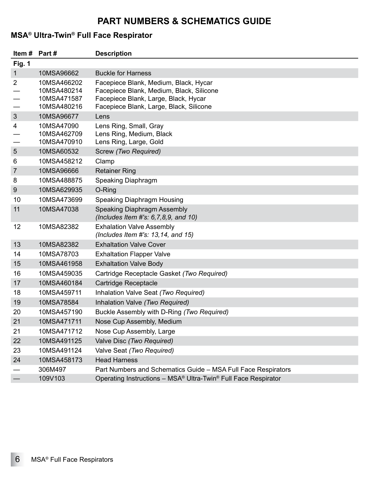### **MSA® Ultra-Twin® Full Face Respirator**

| Item # Part #  |                                                          | <b>Description</b>                                                                                                                                                   |
|----------------|----------------------------------------------------------|----------------------------------------------------------------------------------------------------------------------------------------------------------------------|
| Fig. 1         |                                                          |                                                                                                                                                                      |
| $\mathbf{1}$   | 10MSA96662                                               | <b>Buckle for Harness</b>                                                                                                                                            |
| $\overline{2}$ | 10MSA466202<br>10MSA480214<br>10MSA471587<br>10MSA480216 | Facepiece Blank, Medium, Black, Hycar<br>Facepiece Blank, Medium, Black, Silicone<br>Facepiece Blank, Large, Black, Hycar<br>Facepiece Blank, Large, Black, Silicone |
| $\mathfrak{S}$ | 10MSA96677                                               | Lens                                                                                                                                                                 |
| 4              | 10MSA47090<br>10MSA462709<br>10MSA470910                 | Lens Ring, Small, Gray<br>Lens Ring, Medium, Black<br>Lens Ring, Large, Gold                                                                                         |
| 5              | 10MSA60532                                               | Screw (Two Required)                                                                                                                                                 |
| 6              | 10MSA458212                                              | Clamp                                                                                                                                                                |
| $\overline{7}$ | 10MSA96666                                               | <b>Retainer Ring</b>                                                                                                                                                 |
| 8              | 10MSA488875                                              | Speaking Diaphragm                                                                                                                                                   |
| 9              | 10MSA629935                                              | O-Ring                                                                                                                                                               |
| 10             | 10MSA473699                                              | Speaking Diaphragm Housing                                                                                                                                           |
| 11             | 10MSA47038                                               | Speaking Diaphragm Assembly<br>(Includes Item #'s: $6, 7, 8, 9$ , and $10$ )                                                                                         |
| 12             | 10MSA82382                                               | <b>Exhalation Valve Assembly</b><br>(Includes Item #'s: $13, 14$ , and $15$ )                                                                                        |
| 13             | 10MSA82382                                               | <b>Exhaltation Valve Cover</b>                                                                                                                                       |
| 14             | 10MSA78703                                               | <b>Exhaltation Flapper Valve</b>                                                                                                                                     |
| 15             | 10MSA461958                                              | <b>Exhaltation Valve Body</b>                                                                                                                                        |
| 16             | 10MSA459035                                              | Cartridge Receptacle Gasket (Two Required)                                                                                                                           |
| 17             | 10MSA460184                                              | Cartridge Receptacle                                                                                                                                                 |
| 18             | 10MSA459711                                              | Inhalation Valve Seat (Two Required)                                                                                                                                 |
| 19             | 10MSA78584                                               | Inhalation Valve (Two Required)                                                                                                                                      |
| 20             | 10MSA457190                                              | Buckle Assembly with D-Ring (Two Required)                                                                                                                           |
| 21             | 10MSA471711                                              | Nose Cup Assembly, Medium                                                                                                                                            |
| 21             | 10MSA471712                                              | Nose Cup Assembly, Large                                                                                                                                             |
| 22             | 10MSA491125                                              | Valve Disc (Two Required)                                                                                                                                            |
| 23             | 10MSA491124                                              | Valve Seat (Two Required)                                                                                                                                            |
| 24             | 10MSA458173                                              | <b>Head Harness</b>                                                                                                                                                  |
|                | 306M497                                                  | Part Numbers and Schematics Guide - MSA Full Face Respirators                                                                                                        |
|                | 109V103                                                  | Operating Instructions - MSA® Ultra-Twin® Full Face Respirator                                                                                                       |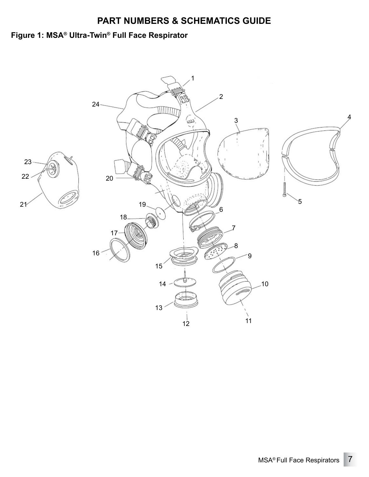### **Figure 1: MSA® Ultra-Twin® Full Face Respirator**

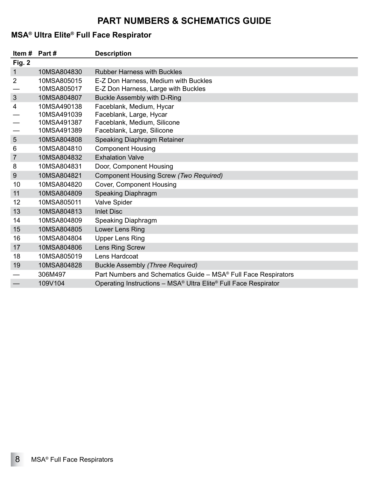### **MSA® Ultra Elite® Full Face Respirator**

| Item #         | Part #      | <b>Description</b>                                                                      |
|----------------|-------------|-----------------------------------------------------------------------------------------|
| <b>Fig. 2</b>  |             |                                                                                         |
| 1              | 10MSA804830 | <b>Rubber Harness with Buckles</b>                                                      |
| $\overline{2}$ | 10MSA805015 | E-Z Don Harness, Medium with Buckles                                                    |
|                | 10MSA805017 | E-Z Don Harness, Large with Buckles                                                     |
| 3              | 10MSA804807 | Buckle Assembly with D-Ring                                                             |
| 4              | 10MSA490138 | Faceblank, Medium, Hycar                                                                |
|                | 10MSA491039 | Faceblank, Large, Hycar                                                                 |
|                | 10MSA491387 | Faceblank, Medium, Silicone                                                             |
|                | 10MSA491389 | Faceblank, Large, Silicone                                                              |
| 5              | 10MSA804808 | Speaking Diaphragm Retainer                                                             |
| 6              | 10MSA804810 | <b>Component Housing</b>                                                                |
| $\overline{7}$ | 10MSA804832 | <b>Exhalation Valve</b>                                                                 |
| 8              | 10MSA804831 | Door, Component Housing                                                                 |
| 9              | 10MSA804821 | Component Housing Screw (Two Required)                                                  |
| 10             | 10MSA804820 | Cover, Component Housing                                                                |
| 11             | 10MSA804809 | Speaking Diaphragm                                                                      |
| 12             | 10MSA805011 | <b>Valve Spider</b>                                                                     |
| 13             | 10MSA804813 | <b>Inlet Disc</b>                                                                       |
| 14             | 10MSA804809 | Speaking Diaphragm                                                                      |
| 15             | 10MSA804805 | Lower Lens Ring                                                                         |
| 16             | 10MSA804804 | <b>Upper Lens Ring</b>                                                                  |
| 17             | 10MSA804806 | Lens Ring Screw                                                                         |
| 18             | 10MSA805019 | Lens Hardcoat                                                                           |
| 19             | 10MSA804828 | Buckle Assembly (Three Required)                                                        |
|                | 306M497     | Part Numbers and Schematics Guide - MSA® Full Face Respirators                          |
|                | 109V104     | Operating Instructions - MSA <sup>®</sup> Ultra Elite <sup>®</sup> Full Face Respirator |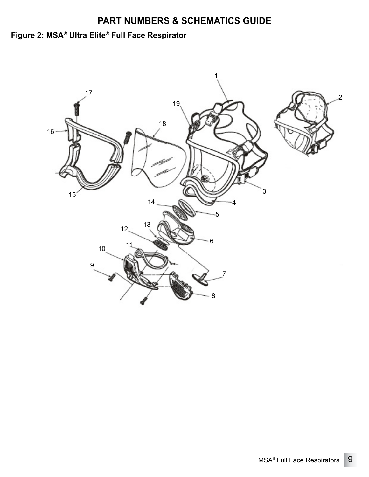# **Figure 2: MSA® Ultra Elite® Full Face Respirator**

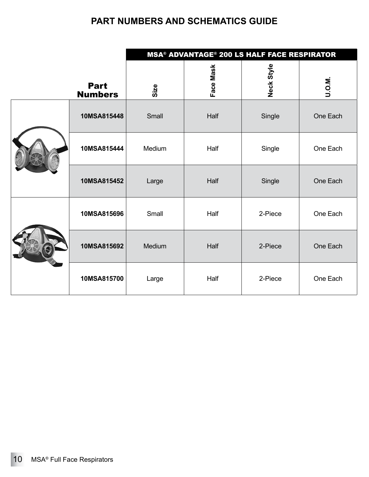|  |                               | <b>MSA<sup>®</sup> ADVANTAGE<sup>®</sup> 200 LS HALF FACE RESPIRATOR</b> |           |            |          |
|--|-------------------------------|--------------------------------------------------------------------------|-----------|------------|----------|
|  | <b>Part</b><br><b>Numbers</b> | Size                                                                     | Face Mask | Neck Style | U.O.M.   |
|  | 10MSA815448                   | Small                                                                    | Half      | Single     | One Each |
|  | 10MSA815444                   | Medium                                                                   | Half      | Single     | One Each |
|  | 10MSA815452                   | Large                                                                    | Half      | Single     | One Each |
|  | 10MSA815696                   | Small                                                                    | Half      | 2-Piece    | One Each |
|  | 10MSA815692                   | Medium                                                                   | Half      | 2-Piece    | One Each |
|  | 10MSA815700                   | Large                                                                    | Half      | 2-Piece    | One Each |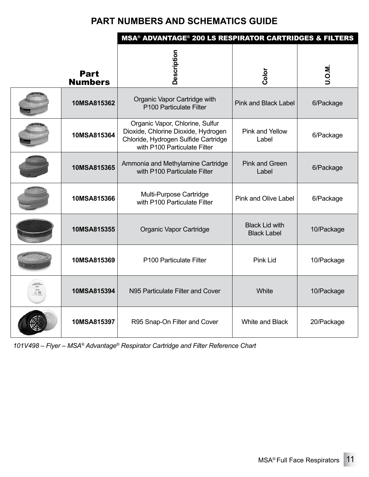|                               | <b>MSA<sup>®</sup> ADVANTAGE<sup>®</sup> 200 LS RESPIRATOR CARTRIDGES &amp; FILTERS</b>                                                        |                                             |            |  |
|-------------------------------|------------------------------------------------------------------------------------------------------------------------------------------------|---------------------------------------------|------------|--|
| <b>Part</b><br><b>Numbers</b> | Description                                                                                                                                    | Color                                       | U.O.M.     |  |
| 10MSA815362                   | Organic Vapor Cartridge with<br>P100 Particulate Filter                                                                                        | <b>Pink and Black Label</b>                 | 6/Package  |  |
| 10MSA815364                   | Organic Vapor, Chlorine, Sulfur<br>Dioxide, Chlorine Dioxide, Hydrogen<br>Chloride, Hydrogen Sulfide Cartridge<br>with P100 Particulate Filter | Pink and Yellow<br>Label                    | 6/Package  |  |
| 10MSA815365                   | Ammonia and Methylamine Cartridge<br>with P100 Particulate Filter                                                                              | <b>Pink and Green</b><br>Label              | 6/Package  |  |
| 10MSA815366                   | Multi-Purpose Cartridge<br>with P100 Particulate Filter                                                                                        | Pink and Olive Label                        | 6/Package  |  |
| 10MSA815355                   | Organic Vapor Cartridge                                                                                                                        | <b>Black Lid with</b><br><b>Black Label</b> | 10/Package |  |
| 10MSA815369                   | P100 Particulate Filter                                                                                                                        | Pink Lid                                    | 10/Package |  |
| 10MSA815394                   | N95 Particulate Filter and Cover                                                                                                               | White                                       | 10/Package |  |
| 10MSA815397                   | R95 Snap-On Filter and Cover                                                                                                                   | White and Black                             | 20/Package |  |

*101V498 – Flyer – MSA® Advantage® Respirator Cartridge and Filter Reference Chart*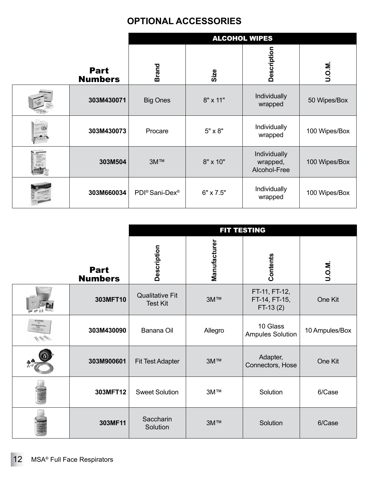### **OPTIONAL ACCESSORIES**

|                               | <b>ALCOHOL WIPES</b>                   |                |                                          |               |
|-------------------------------|----------------------------------------|----------------|------------------------------------------|---------------|
| <b>Part</b><br><b>Numbers</b> | <b>Brand</b>                           | Size           | Description                              | U.O.M.        |
| 303M430071                    | <b>Big Ones</b>                        | 8" x 11"       | <b>Individually</b><br>wrapped           | 50 Wipes/Box  |
| 303M430073                    | Procare                                | $5" \times 8"$ | Individually<br>wrapped                  | 100 Wipes/Box |
| 303M504                       | 3M™                                    | 8" x 10"       | Individually<br>wrapped,<br>Alcohol-Free | 100 Wipes/Box |
| 303M660034                    | PDI <sup>®</sup> Sani-Dex <sup>®</sup> | 6" x 7.5"      | Individually<br>wrapped                  | 100 Wipes/Box |

|                               | FIT TESTING                               |              |                                              |                |
|-------------------------------|-------------------------------------------|--------------|----------------------------------------------|----------------|
| <b>Part</b><br><b>Numbers</b> | Description                               | Manufacturer | Contents                                     | U.O.M.         |
| 303MFT10                      | <b>Qualitative Fit</b><br><b>Test Kit</b> | <b>3M™</b>   | FT-11, FT-12,<br>FT-14, FT-15,<br>$FT-13(2)$ | One Kit        |
| 303M430090                    | Banana Oil                                | Allegro      | 10 Glass<br><b>Ampules Solution</b>          | 10 Ampules/Box |
| 303M900601                    | <b>Fit Test Adapter</b>                   | 3M™          | Adapter,<br>Connectors, Hose                 | One Kit        |
| 303MFT12                      | <b>Sweet Solution</b>                     | 3M™          | Solution                                     | 6/Case         |
| 303MF11                       | Saccharin<br>Solution                     | 3M™          | Solution                                     | 6/Case         |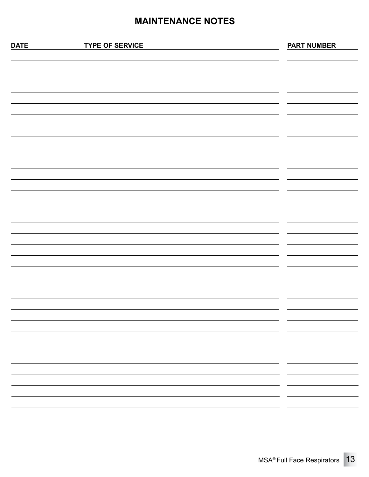#### **MAINTENANCE NOTES**

| <b>DATE</b> | <b>TYPE OF SERVICE</b> | <b>PART NUMBER</b>                     |
|-------------|------------------------|----------------------------------------|
|             |                        |                                        |
|             |                        |                                        |
|             |                        |                                        |
|             |                        |                                        |
|             |                        |                                        |
|             |                        |                                        |
|             |                        |                                        |
|             |                        |                                        |
|             |                        |                                        |
|             |                        |                                        |
|             |                        |                                        |
|             |                        |                                        |
|             |                        |                                        |
|             |                        |                                        |
|             |                        |                                        |
|             |                        |                                        |
|             |                        |                                        |
|             |                        |                                        |
|             |                        |                                        |
|             |                        |                                        |
|             |                        |                                        |
|             |                        |                                        |
|             |                        |                                        |
|             |                        |                                        |
|             |                        | -                                      |
|             |                        | —                                      |
|             |                        |                                        |
|             |                        | - -                                    |
|             |                        |                                        |
|             |                        |                                        |
|             |                        | $\overline{\phantom{a}}$<br><u>— п</u> |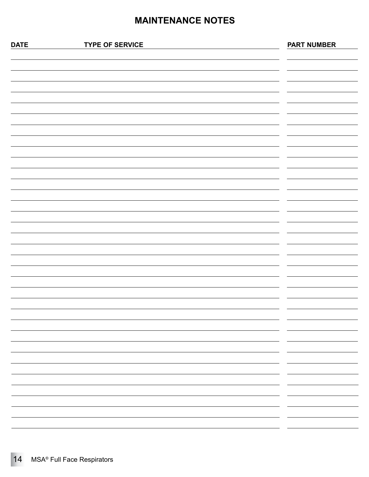### **MAINTENANCE NOTES**

| <b>DATE</b> | <b>TYPE OF SERVICE</b> | <b>PART NUMBER</b>            |
|-------------|------------------------|-------------------------------|
|             |                        |                               |
|             |                        |                               |
|             |                        |                               |
|             |                        |                               |
|             |                        |                               |
|             |                        |                               |
|             |                        |                               |
|             |                        |                               |
|             |                        |                               |
|             |                        |                               |
|             |                        |                               |
|             |                        |                               |
|             |                        |                               |
|             |                        |                               |
|             |                        |                               |
|             |                        |                               |
|             |                        |                               |
|             |                        |                               |
|             |                        |                               |
|             |                        |                               |
|             |                        |                               |
|             |                        |                               |
|             |                        |                               |
|             |                        |                               |
|             |                        |                               |
|             |                        | $\overline{\phantom{a}}$<br>- |
|             |                        | $\overline{\phantom{a}}$<br>- |
|             |                        | $\overline{\phantom{0}}$<br>- |
|             |                        | -<br>-<br>-                   |
|             |                        | - -<br>-                      |
|             |                        |                               |
|             |                        | Ξ.                            |
|             |                        | - -                           |
|             |                        |                               |
|             |                        |                               |
|             |                        |                               |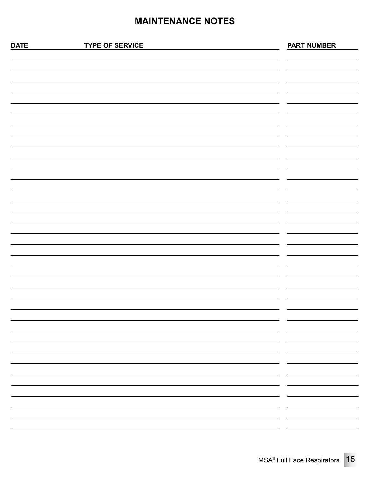#### **MAINTENANCE NOTES**

| <b>DATE</b> | <b>TYPE OF SERVICE</b> | <b>PART NUMBER</b>                     |
|-------------|------------------------|----------------------------------------|
|             |                        |                                        |
|             |                        |                                        |
|             |                        |                                        |
|             |                        |                                        |
|             |                        |                                        |
|             |                        |                                        |
|             |                        |                                        |
|             |                        |                                        |
|             |                        |                                        |
|             |                        |                                        |
|             |                        |                                        |
|             |                        |                                        |
|             |                        |                                        |
|             |                        |                                        |
|             |                        |                                        |
|             |                        |                                        |
|             |                        |                                        |
|             |                        |                                        |
|             |                        |                                        |
|             |                        |                                        |
|             |                        |                                        |
|             |                        |                                        |
|             |                        |                                        |
|             |                        |                                        |
|             |                        | -                                      |
|             |                        | —                                      |
|             |                        |                                        |
|             |                        | - -                                    |
|             |                        |                                        |
|             |                        |                                        |
|             |                        | $\overline{\phantom{a}}$<br><u>— п</u> |